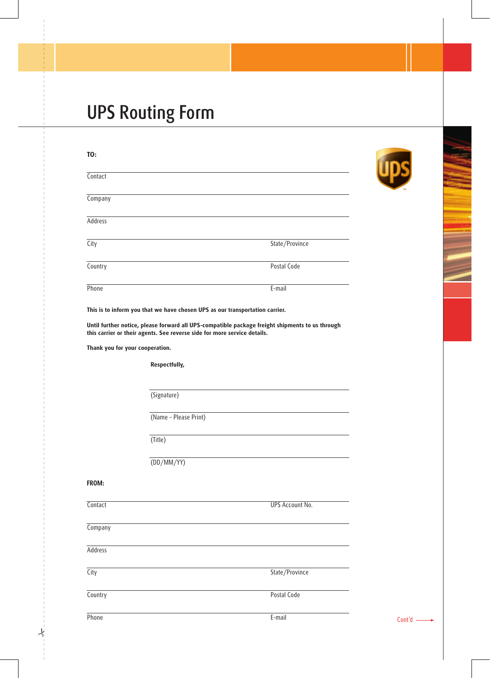# UPS Routing Form

| Contact<br>Company<br>Address<br>State/Province<br>City                                                                                                                     |
|-----------------------------------------------------------------------------------------------------------------------------------------------------------------------------|
|                                                                                                                                                                             |
|                                                                                                                                                                             |
|                                                                                                                                                                             |
|                                                                                                                                                                             |
| Country<br>Postal Code                                                                                                                                                      |
| Phone<br>E-mail                                                                                                                                                             |
| This is to inform you that we have chosen UPS as our transportation carrier.                                                                                                |
| Until further notice, please forward all UPS-compatible package freight shipments to us through<br>this carrier or their agents. See reverse side for more service details. |
| Thank you for your cooperation.                                                                                                                                             |
| Respectfully,                                                                                                                                                               |
|                                                                                                                                                                             |
| (Signature)                                                                                                                                                                 |
| (Name - Please Print)                                                                                                                                                       |
| (Title)                                                                                                                                                                     |
| (DD/MM/YY)                                                                                                                                                                  |
| FROM:                                                                                                                                                                       |
| <b>UPS Account No.</b><br>Contact                                                                                                                                           |
| Company                                                                                                                                                                     |
| Address                                                                                                                                                                     |
| State/Province<br>City                                                                                                                                                      |
| Country<br>Postal Code                                                                                                                                                      |
| Phone<br>E-mail                                                                                                                                                             |